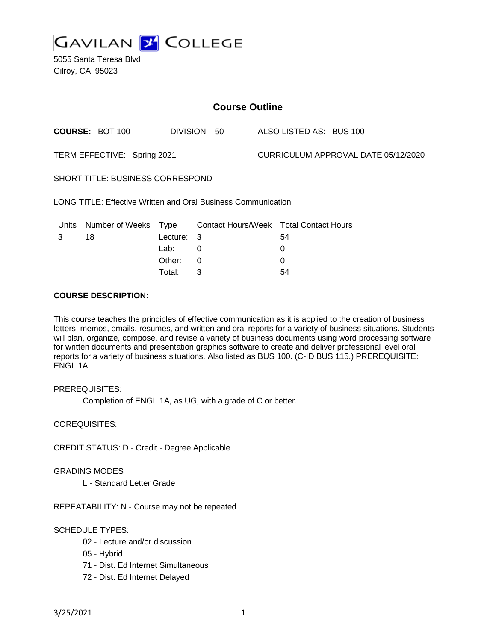

5055 Santa Teresa Blvd Gilroy, CA 95023

| <b>Course Outline</b>                                         |                        |            |          |              |  |                                        |  |  |
|---------------------------------------------------------------|------------------------|------------|----------|--------------|--|----------------------------------------|--|--|
|                                                               | <b>COURSE: BOT 100</b> |            |          | DIVISION: 50 |  | ALSO LISTED AS: BUS 100                |  |  |
| TERM EFFECTIVE: Spring 2021                                   |                        |            |          |              |  | CURRICULUM APPROVAL DATE 05/12/2020    |  |  |
| SHORT TITLE: BUSINESS CORRESPOND                              |                        |            |          |              |  |                                        |  |  |
| LONG TITLE: Effective Written and Oral Business Communication |                        |            |          |              |  |                                        |  |  |
| <u>Units</u>                                                  | Number of Weeks Type   |            |          |              |  | Contact Hours/Week Total Contact Hours |  |  |
| 3                                                             | 18                     | Lecture: 3 |          |              |  | 54                                     |  |  |
|                                                               |                        | Lab:       | $\Omega$ |              |  | 0                                      |  |  |
|                                                               |                        | Other:     | 0        |              |  | 0                                      |  |  |

Total: 3 54

### **COURSE DESCRIPTION:**

This course teaches the principles of effective communication as it is applied to the creation of business letters, memos, emails, resumes, and written and oral reports for a variety of business situations. Students will plan, organize, compose, and revise a variety of business documents using word processing software for written documents and presentation graphics software to create and deliver professional level oral reports for a variety of business situations. Also listed as BUS 100. (C-ID BUS 115.) PREREQUISITE: ENGL 1A.

### PREREQUISITES:

Completion of ENGL 1A, as UG, with a grade of C or better.

COREQUISITES:

CREDIT STATUS: D - Credit - Degree Applicable

### GRADING MODES

L - Standard Letter Grade

REPEATABILITY: N - Course may not be repeated

## SCHEDULE TYPES:

- 02 Lecture and/or discussion
- 05 Hybrid
- 71 Dist. Ed Internet Simultaneous
- 72 Dist. Ed Internet Delayed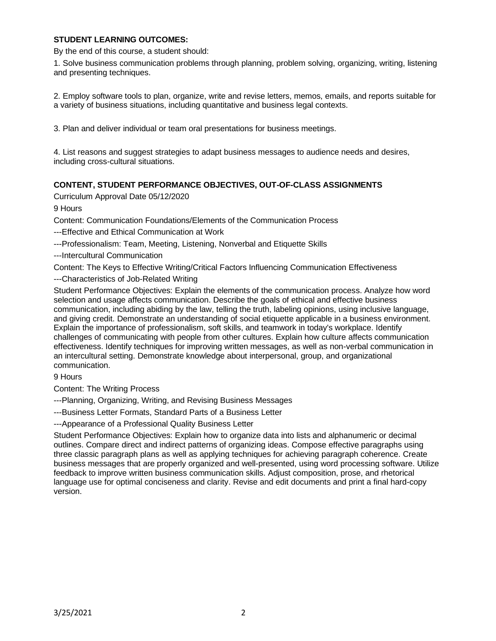## **STUDENT LEARNING OUTCOMES:**

By the end of this course, a student should:

1. Solve business communication problems through planning, problem solving, organizing, writing, listening and presenting techniques.

2. Employ software tools to plan, organize, write and revise letters, memos, emails, and reports suitable for a variety of business situations, including quantitative and business legal contexts.

3. Plan and deliver individual or team oral presentations for business meetings.

4. List reasons and suggest strategies to adapt business messages to audience needs and desires, including cross-cultural situations.

# **CONTENT, STUDENT PERFORMANCE OBJECTIVES, OUT-OF-CLASS ASSIGNMENTS**

Curriculum Approval Date 05/12/2020

9 Hours

Content: Communication Foundations/Elements of the Communication Process

---Effective and Ethical Communication at Work

---Professionalism: Team, Meeting, Listening, Nonverbal and Etiquette Skills

---Intercultural Communication

Content: The Keys to Effective Writing/Critical Factors Influencing Communication Effectiveness

---Characteristics of Job-Related Writing

Student Performance Objectives: Explain the elements of the communication process. Analyze how word selection and usage affects communication. Describe the goals of ethical and effective business communication, including abiding by the law, telling the truth, labeling opinions, using inclusive language, and giving credit. Demonstrate an understanding of social etiquette applicable in a business environment. Explain the importance of professionalism, soft skills, and teamwork in today's workplace. Identify challenges of communicating with people from other cultures. Explain how culture affects communication effectiveness. Identify techniques for improving written messages, as well as non-verbal communication in an intercultural setting. Demonstrate knowledge about interpersonal, group, and organizational communication.

9 Hours

Content: The Writing Process

---Planning, Organizing, Writing, and Revising Business Messages

---Business Letter Formats, Standard Parts of a Business Letter

---Appearance of a Professional Quality Business Letter

Student Performance Objectives: Explain how to organize data into lists and alphanumeric or decimal outlines. Compare direct and indirect patterns of organizing ideas. Compose effective paragraphs using three classic paragraph plans as well as applying techniques for achieving paragraph coherence. Create business messages that are properly organized and well-presented, using word processing software. Utilize feedback to improve written business communication skills. Adjust composition, prose, and rhetorical language use for optimal conciseness and clarity. Revise and edit documents and print a final hard-copy version.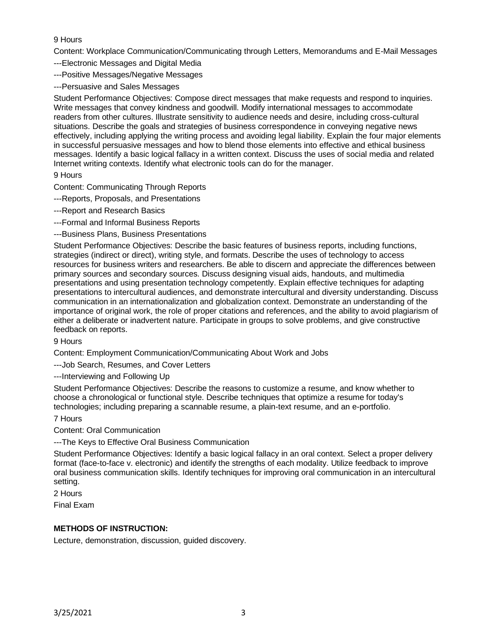# 9 Hours

Content: Workplace Communication/Communicating through Letters, Memorandums and E-Mail Messages

---Electronic Messages and Digital Media

---Positive Messages/Negative Messages

---Persuasive and Sales Messages

Student Performance Objectives: Compose direct messages that make requests and respond to inquiries. Write messages that convey kindness and goodwill. Modify international messages to accommodate readers from other cultures. Illustrate sensitivity to audience needs and desire, including cross-cultural situations. Describe the goals and strategies of business correspondence in conveying negative news effectively, including applying the writing process and avoiding legal liability. Explain the four major elements in successful persuasive messages and how to blend those elements into effective and ethical business messages. Identify a basic logical fallacy in a written context. Discuss the uses of social media and related Internet writing contexts. Identify what electronic tools can do for the manager.

## 9 Hours

Content: Communicating Through Reports

- ---Reports, Proposals, and Presentations
- ---Report and Research Basics
- ---Formal and Informal Business Reports
- ---Business Plans, Business Presentations

Student Performance Objectives: Describe the basic features of business reports, including functions, strategies (indirect or direct), writing style, and formats. Describe the uses of technology to access resources for business writers and researchers. Be able to discern and appreciate the differences between primary sources and secondary sources. Discuss designing visual aids, handouts, and multimedia presentations and using presentation technology competently. Explain effective techniques for adapting presentations to intercultural audiences, and demonstrate intercultural and diversity understanding. Discuss communication in an internationalization and globalization context. Demonstrate an understanding of the importance of original work, the role of proper citations and references, and the ability to avoid plagiarism of either a deliberate or inadvertent nature. Participate in groups to solve problems, and give constructive feedback on reports.

9 Hours

Content: Employment Communication/Communicating About Work and Jobs

---Job Search, Resumes, and Cover Letters

---Interviewing and Following Up

Student Performance Objectives: Describe the reasons to customize a resume, and know whether to choose a chronological or functional style. Describe techniques that optimize a resume for today's technologies; including preparing a scannable resume, a plain-text resume, and an e-portfolio.

7 Hours

Content: Oral Communication

---The Keys to Effective Oral Business Communication

Student Performance Objectives: Identify a basic logical fallacy in an oral context. Select a proper delivery format (face-to-face v. electronic) and identify the strengths of each modality. Utilize feedback to improve oral business communication skills. Identify techniques for improving oral communication in an intercultural setting.

2 Hours

Final Exam

## **METHODS OF INSTRUCTION:**

Lecture, demonstration, discussion, guided discovery.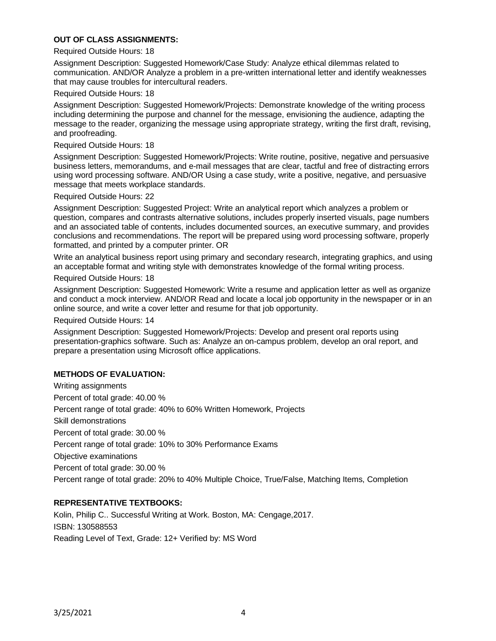## **OUT OF CLASS ASSIGNMENTS:**

#### Required Outside Hours: 18

Assignment Description: Suggested Homework/Case Study: Analyze ethical dilemmas related to communication. AND/OR Analyze a problem in a pre-written international letter and identify weaknesses that may cause troubles for intercultural readers.

#### Required Outside Hours: 18

Assignment Description: Suggested Homework/Projects: Demonstrate knowledge of the writing process including determining the purpose and channel for the message, envisioning the audience, adapting the message to the reader, organizing the message using appropriate strategy, writing the first draft, revising, and proofreading.

### Required Outside Hours: 18

Assignment Description: Suggested Homework/Projects: Write routine, positive, negative and persuasive business letters, memorandums, and e-mail messages that are clear, tactful and free of distracting errors using word processing software. AND/OR Using a case study, write a positive, negative, and persuasive message that meets workplace standards.

#### Required Outside Hours: 22

Assignment Description: Suggested Project: Write an analytical report which analyzes a problem or question, compares and contrasts alternative solutions, includes properly inserted visuals, page numbers and an associated table of contents, includes documented sources, an executive summary, and provides conclusions and recommendations. The report will be prepared using word processing software, properly formatted, and printed by a computer printer. OR

Write an analytical business report using primary and secondary research, integrating graphics, and using an acceptable format and writing style with demonstrates knowledge of the formal writing process.

#### Required Outside Hours: 18

Assignment Description: Suggested Homework: Write a resume and application letter as well as organize and conduct a mock interview. AND/OR Read and locate a local job opportunity in the newspaper or in an online source, and write a cover letter and resume for that job opportunity.

Required Outside Hours: 14

Assignment Description: Suggested Homework/Projects: Develop and present oral reports using presentation-graphics software. Such as: Analyze an on-campus problem, develop an oral report, and prepare a presentation using Microsoft office applications.

### **METHODS OF EVALUATION:**

Writing assignments Percent of total grade: 40.00 % Percent range of total grade: 40% to 60% Written Homework, Projects Skill demonstrations Percent of total grade: 30.00 % Percent range of total grade: 10% to 30% Performance Exams Objective examinations Percent of total grade: 30.00 % Percent range of total grade: 20% to 40% Multiple Choice, True/False, Matching Items, Completion

## **REPRESENTATIVE TEXTBOOKS:**

Kolin, Philip C.. Successful Writing at Work. Boston, MA: Cengage,2017. ISBN: 130588553 Reading Level of Text, Grade: 12+ Verified by: MS Word